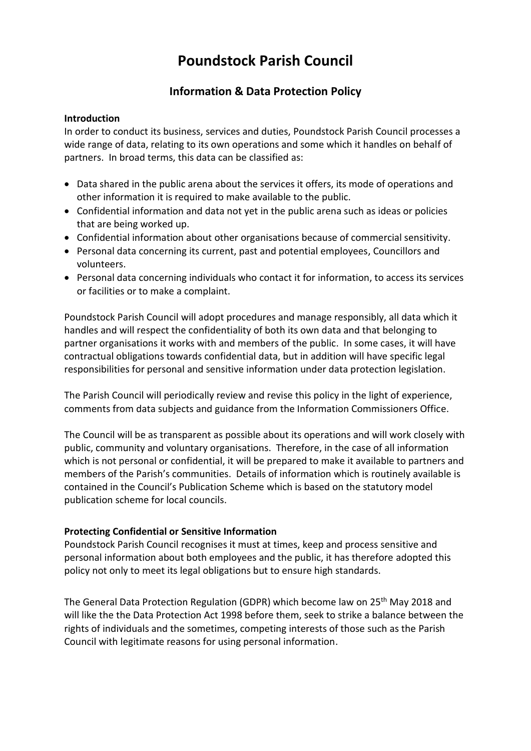# **Poundstock Parish Council**

# **Information & Data Protection Policy**

# **Introduction**

In order to conduct its business, services and duties, Poundstock Parish Council processes a wide range of data, relating to its own operations and some which it handles on behalf of partners. In broad terms, this data can be classified as:

- Data shared in the public arena about the services it offers, its mode of operations and other information it is required to make available to the public.
- Confidential information and data not yet in the public arena such as ideas or policies that are being worked up.
- Confidential information about other organisations because of commercial sensitivity.
- Personal data concerning its current, past and potential employees, Councillors and volunteers.
- Personal data concerning individuals who contact it for information, to access its services or facilities or to make a complaint.

Poundstock Parish Council will adopt procedures and manage responsibly, all data which it handles and will respect the confidentiality of both its own data and that belonging to partner organisations it works with and members of the public. In some cases, it will have contractual obligations towards confidential data, but in addition will have specific legal responsibilities for personal and sensitive information under data protection legislation.

The Parish Council will periodically review and revise this policy in the light of experience, comments from data subjects and guidance from the Information Commissioners Office.

The Council will be as transparent as possible about its operations and will work closely with public, community and voluntary organisations. Therefore, in the case of all information which is not personal or confidential, it will be prepared to make it available to partners and members of the Parish's communities. Details of information which is routinely available is contained in the Council's Publication Scheme which is based on the statutory model publication scheme for local councils.

# **Protecting Confidential or Sensitive Information**

Poundstock Parish Council recognises it must at times, keep and process sensitive and personal information about both employees and the public, it has therefore adopted this policy not only to meet its legal obligations but to ensure high standards.

The General Data Protection Regulation (GDPR) which become law on 25<sup>th</sup> May 2018 and will like the the Data Protection Act 1998 before them, seek to strike a balance between the rights of individuals and the sometimes, competing interests of those such as the Parish Council with legitimate reasons for using personal information.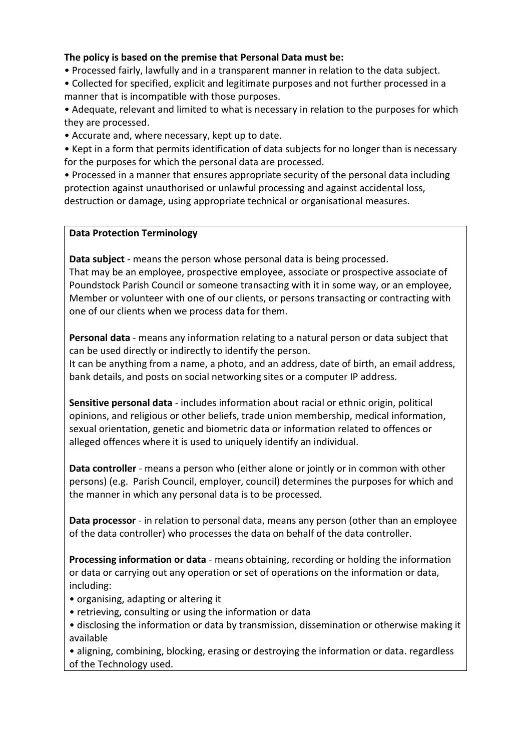# **The policy is based on the premise that Personal Data must be:**

- Processed fairly, lawfully and in a transparent manner in relation to the data subject.
- Collected for specified, explicit and legitimate purposes and not further processed in a manner that is incompatible with those purposes.
- Adequate, relevant and limited to what is necessary in relation to the purposes for which they are processed.
- Accurate and, where necessary, kept up to date.
- Kept in a form that permits identification of data subjects for no longer than is necessary for the purposes for which the personal data are processed.
- Processed in a manner that ensures appropriate security of the personal data including protection against unauthorised or unlawful processing and against accidental loss, destruction or damage, using appropriate technical or organisational measures.

# **Data Protection Terminology**

**Data subject** - means the person whose personal data is being processed. That may be an employee, prospective employee, associate or prospective associate of Poundstock Parish Council or someone transacting with it in some way, or an employee, Member or volunteer with one of our clients, or persons transacting or contracting with one of our clients when we process data for them.

**Personal data** - means any information relating to a natural person or data subject that can be used directly or indirectly to identify the person.

It can be anything from a name, a photo, and an address, date of birth, an email address, bank details, and posts on social networking sites or a computer IP address.

**Sensitive personal data** - includes information about racial or ethnic origin, political opinions, and religious or other beliefs, trade union membership, medical information, sexual orientation, genetic and biometric data or information related to offences or alleged offences where it is used to uniquely identify an individual.

**Data controller** - means a person who (either alone or jointly or in common with other persons) (e.g. Parish Council, employer, council) determines the purposes for which and the manner in which any personal data is to be processed.

**Data processor** - in relation to personal data, means any person (other than an employee of the data controller) who processes the data on behalf of the data controller.

**Processing information or data** - means obtaining, recording or holding the information or data or carrying out any operation or set of operations on the information or data, including:

- organising, adapting or altering it
- retrieving, consulting or using the information or data
- disclosing the information or data by transmission, dissemination or otherwise making it available

• aligning, combining, blocking, erasing or destroying the information or data. regardless of the Technology used.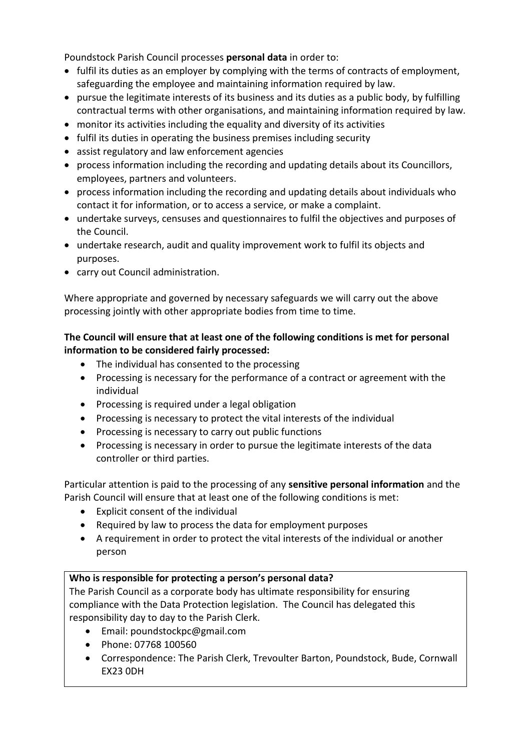Poundstock Parish Council processes **personal data** in order to:

- fulfil its duties as an employer by complying with the terms of contracts of employment, safeguarding the employee and maintaining information required by law.
- pursue the legitimate interests of its business and its duties as a public body, by fulfilling contractual terms with other organisations, and maintaining information required by law.
- monitor its activities including the equality and diversity of its activities
- fulfil its duties in operating the business premises including security
- assist regulatory and law enforcement agencies
- process information including the recording and updating details about its Councillors, employees, partners and volunteers.
- process information including the recording and updating details about individuals who contact it for information, or to access a service, or make a complaint.
- undertake surveys, censuses and questionnaires to fulfil the objectives and purposes of the Council.
- undertake research, audit and quality improvement work to fulfil its objects and purposes.
- carry out Council administration.

Where appropriate and governed by necessary safeguards we will carry out the above processing jointly with other appropriate bodies from time to time.

# **The Council will ensure that at least one of the following conditions is met for personal information to be considered fairly processed:**

- The individual has consented to the processing
- Processing is necessary for the performance of a contract or agreement with the individual
- Processing is required under a legal obligation
- Processing is necessary to protect the vital interests of the individual
- Processing is necessary to carry out public functions
- Processing is necessary in order to pursue the legitimate interests of the data controller or third parties.

Particular attention is paid to the processing of any **sensitive personal information** and the Parish Council will ensure that at least one of the following conditions is met:

- Explicit consent of the individual
- Required by law to process the data for employment purposes
- A requirement in order to protect the vital interests of the individual or another person

# **Who is responsible for protecting a person's personal data?**

The Parish Council as a corporate body has ultimate responsibility for ensuring compliance with the Data Protection legislation. The Council has delegated this responsibility day to day to the Parish Clerk.

- Email: poundstockpc@gmail.com
- Phone: 07768 100560
- Correspondence: The Parish Clerk, Trevoulter Barton, Poundstock, Bude, Cornwall EX23 0DH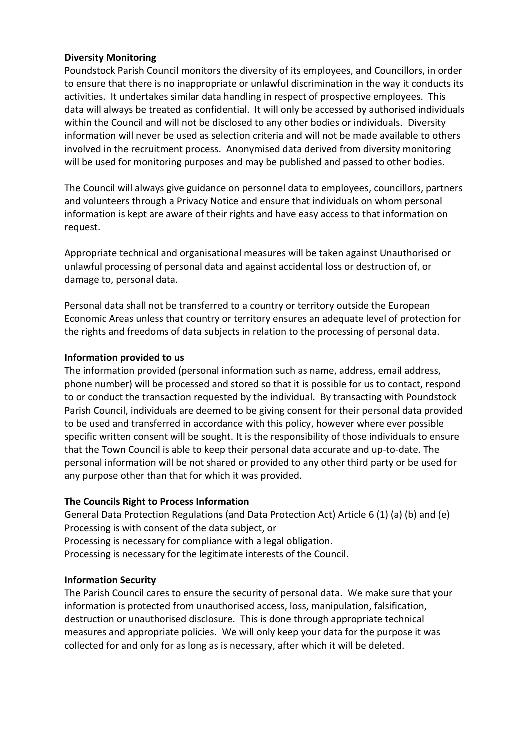# **Diversity Monitoring**

Poundstock Parish Council monitors the diversity of its employees, and Councillors, in order to ensure that there is no inappropriate or unlawful discrimination in the way it conducts its activities. It undertakes similar data handling in respect of prospective employees. This data will always be treated as confidential. It will only be accessed by authorised individuals within the Council and will not be disclosed to any other bodies or individuals. Diversity information will never be used as selection criteria and will not be made available to others involved in the recruitment process. Anonymised data derived from diversity monitoring will be used for monitoring purposes and may be published and passed to other bodies.

The Council will always give guidance on personnel data to employees, councillors, partners and volunteers through a Privacy Notice and ensure that individuals on whom personal information is kept are aware of their rights and have easy access to that information on request.

Appropriate technical and organisational measures will be taken against Unauthorised or unlawful processing of personal data and against accidental loss or destruction of, or damage to, personal data.

Personal data shall not be transferred to a country or territory outside the European Economic Areas unless that country or territory ensures an adequate level of protection for the rights and freedoms of data subjects in relation to the processing of personal data.

# **Information provided to us**

The information provided (personal information such as name, address, email address, phone number) will be processed and stored so that it is possible for us to contact, respond to or conduct the transaction requested by the individual. By transacting with Poundstock Parish Council, individuals are deemed to be giving consent for their personal data provided to be used and transferred in accordance with this policy, however where ever possible specific written consent will be sought. It is the responsibility of those individuals to ensure that the Town Council is able to keep their personal data accurate and up-to-date. The personal information will be not shared or provided to any other third party or be used for any purpose other than that for which it was provided.

### **The Councils Right to Process Information**

General Data Protection Regulations (and Data Protection Act) Article 6 (1) (a) (b) and (e) Processing is with consent of the data subject, or Processing is necessary for compliance with a legal obligation. Processing is necessary for the legitimate interests of the Council.

### **Information Security**

The Parish Council cares to ensure the security of personal data. We make sure that your information is protected from unauthorised access, loss, manipulation, falsification, destruction or unauthorised disclosure. This is done through appropriate technical measures and appropriate policies. We will only keep your data for the purpose it was collected for and only for as long as is necessary, after which it will be deleted.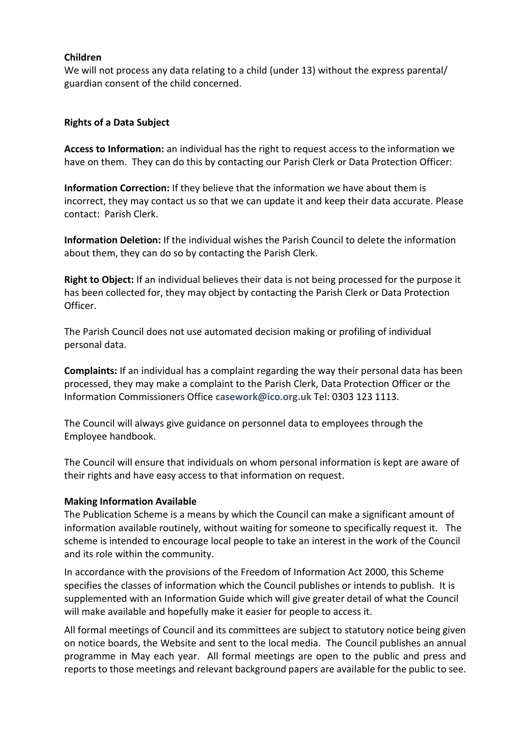### **Children**

We will not process any data relating to a child (under 13) without the express parental/ guardian consent of the child concerned.

### **Rights of a Data Subject**

**Access to Information:** an individual has the right to request access to the information we have on them. They can do this by contacting our Parish Clerk or Data Protection Officer:

**Information Correction:** If they believe that the information we have about them is incorrect, they may contact us so that we can update it and keep their data accurate. Please contact: Parish Clerk.

**Information Deletion:** If the individual wishes the Parish Council to delete the information about them, they can do so by contacting the Parish Clerk.

**Right to Object:** If an individual believes their data is not being processed for the purpose it has been collected for, they may object by contacting the Parish Clerk or Data Protection Officer.

The Parish Council does not use automated decision making or profiling of individual personal data.

**Complaints:** If an individual has a complaint regarding the way their personal data has been processed, they may make a complaint to the Parish Clerk, Data Protection Officer or the Information Commissioners Office **[casework@ico.org.uk](mailto:casework@ico.org.uk)** Tel: 0303 123 1113.

The Council will always give guidance on personnel data to employees through the Employee handbook.

The Council will ensure that individuals on whom personal information is kept are aware of their rights and have easy access to that information on request.

#### **Making Information Available**

The Publication Scheme is a means by which the Council can make a significant amount of information available routinely, without waiting for someone to specifically request it. The scheme is intended to encourage local people to take an interest in the work of the Council and its role within the community.

In accordance with the provisions of the Freedom of Information Act 2000, this Scheme specifies the classes of information which the Council publishes or intends to publish. It is supplemented with an Information Guide which will give greater detail of what the Council will make available and hopefully make it easier for people to access it.

All formal meetings of Council and its committees are subject to statutory notice being given on notice boards, the Website and sent to the local media. The Council publishes an annual programme in May each year. All formal meetings are open to the public and press and reports to those meetings and relevant background papers are available for the public to see.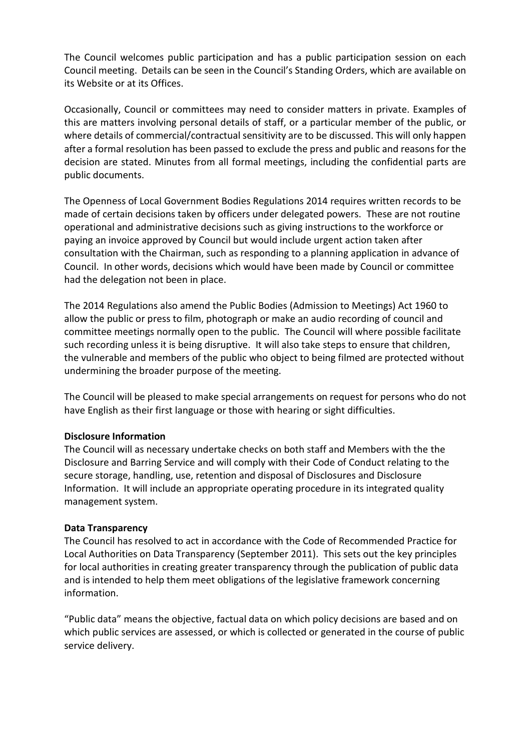The Council welcomes public participation and has a public participation session on each Council meeting. Details can be seen in the Council's Standing Orders, which are available on its Website or at its Offices.

Occasionally, Council or committees may need to consider matters in private. Examples of this are matters involving personal details of staff, or a particular member of the public, or where details of commercial/contractual sensitivity are to be discussed. This will only happen after a formal resolution has been passed to exclude the press and public and reasons for the decision are stated. Minutes from all formal meetings, including the confidential parts are public documents.

The Openness of Local Government Bodies Regulations 2014 requires written records to be made of certain decisions taken by officers under delegated powers. These are not routine operational and administrative decisions such as giving instructions to the workforce or paying an invoice approved by Council but would include urgent action taken after consultation with the Chairman, such as responding to a planning application in advance of Council. In other words, decisions which would have been made by Council or committee had the delegation not been in place.

The 2014 Regulations also amend the Public Bodies (Admission to Meetings) Act 1960 to allow the public or press to film, photograph or make an audio recording of council and committee meetings normally open to the public. The Council will where possible facilitate such recording unless it is being disruptive. It will also take steps to ensure that children, the vulnerable and members of the public who object to being filmed are protected without undermining the broader purpose of the meeting.

The Council will be pleased to make special arrangements on request for persons who do not have English as their first language or those with hearing or sight difficulties.

### **Disclosure Information**

The Council will as necessary undertake checks on both staff and Members with the the Disclosure and Barring Service and will comply with their Code of Conduct relating to the secure storage, handling, use, retention and disposal of Disclosures and Disclosure Information. It will include an appropriate operating procedure in its integrated quality management system.

### **Data Transparency**

The Council has resolved to act in accordance with the Code of Recommended Practice for Local Authorities on Data Transparency (September 2011). This sets out the key principles for local authorities in creating greater transparency through the publication of public data and is intended to help them meet obligations of the legislative framework concerning information.

"Public data" means the objective, factual data on which policy decisions are based and on which public services are assessed, or which is collected or generated in the course of public service delivery.